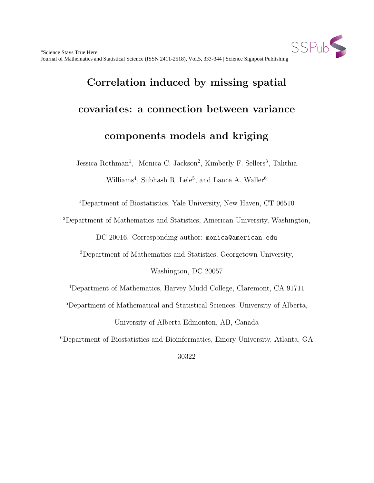

# Correlation induced by missing spatial covariates: a connection between variance components models and kriging

Jessica Rothman<sup>1</sup>, Monica C. Jackson<sup>2</sup>, Kimberly F. Sellers<sup>3</sup>, Talithia Williams<sup>4</sup>, Subhash R. Lele<sup>5</sup>, and Lance A. Waller<sup>6</sup>

<sup>1</sup>Department of Biostatistics, Yale University, New Haven, CT 06510

<sup>2</sup>Department of Mathematics and Statistics, American University, Washington,

DC 20016. Corresponding author: monica@american.edu

<sup>3</sup>Department of Mathematics and Statistics, Georgetown University,

Washington, DC 20057

<sup>4</sup>Department of Mathematics, Harvey Mudd College, Claremont, CA 91711

<sup>5</sup>Department of Mathematical and Statistical Sciences, University of Alberta,

University of Alberta Edmonton, AB, Canada

<sup>6</sup>Department of Biostatistics and Bioinformatics, Emory University, Atlanta, GA

30322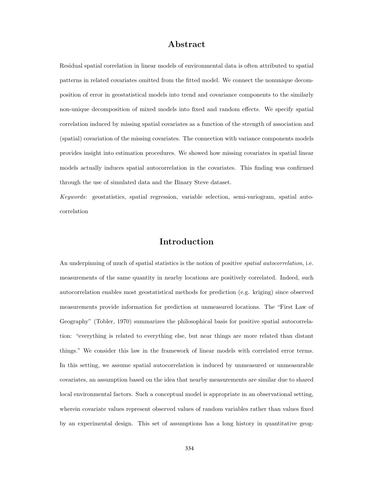## Abstract

Residual spatial correlation in linear models of environmental data is often attributed to spatial patterns in related covariates omitted from the fitted model. We connect the nonunique decomposition of error in geostatistical models into trend and covariance components to the similarly non-unique decomposition of mixed models into fixed and random effects. We specify spatial correlation induced by missing spatial covariates as a function of the strength of association and (spatial) covariation of the missing covariates. The connection with variance components models provides insight into estimation procedures. We showed how missing covariates in spatial linear models actually induces spatial autocorrelation in the covariates. This finding was confirmed through the use of simulated data and the Binary Steve dataset.

Keywords: geostatistics, spatial regression, variable selection, semi-variogram, spatial autocorrelation

#### Introduction

An underpinning of much of spatial statistics is the notion of positive *spatial autocorrelation*, i.e. measurements of the same quantity in nearby locations are positively correlated. Indeed, such autocorrelation enables most geostatistical methods for prediction (e.g. kriging) since observed measurements provide information for prediction at unmeasured locations. The "First Law of Geography" (Tobler, 1970) summarizes the philosophical basis for positive spatial autocorrelation: "everything is related to everything else, but near things are more related than distant things." We consider this law in the framework of linear models with correlated error terms. In this setting, we assume spatial autocorrelation is induced by unmeasured or unmeasurable covariates, an assumption based on the idea that nearby measurements are similar due to shared local environmental factors. Such a conceptual model is appropriate in an observational setting, wherein covariate values represent observed values of random variables rather than values fixed by an experimental design. This set of assumptions has a long history in quantitative geog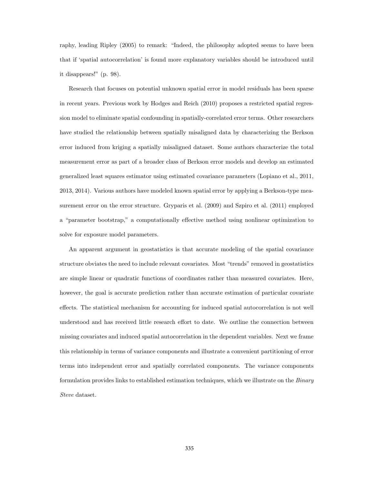raphy, leading Ripley (2005) to remark: "Indeed, the philosophy adopted seems to have been that if 'spatial autocorrelation' is found more explanatory variables should be introduced until it disappears!" (p. 98).

Research that focuses on potential unknown spatial error in model residuals has been sparse in recent years. Previous work by Hodges and Reich (2010) proposes a restricted spatial regression model to eliminate spatial confounding in spatially-correlated error terms. Other researchers have studied the relationship between spatially misaligned data by characterizing the Berkson error induced from kriging a spatially misaligned dataset. Some authors characterize the total measurement error as part of a broader class of Berkson error models and develop an estimated generalized least squares estimator using estimated covariance parameters (Lopiano et al., 2011, 2013, 2014). Various authors have modeled known spatial error by applying a Berkson-type measurement error on the error structure. Gryparis et al. (2009) and Szpiro et al. (2011) employed a "parameter bootstrap," a computationally effective method using nonlinear optimization to solve for exposure model parameters.

An apparent argument in geostatistics is that accurate modeling of the spatial covariance structure obviates the need to include relevant covariates. Most "trends" removed in geostatistics are simple linear or quadratic functions of coordinates rather than measured covariates. Here, however, the goal is accurate prediction rather than accurate estimation of particular covariate effects. The statistical mechanism for accounting for induced spatial autocorrelation is not well understood and has received little research effort to date. We outline the connection between missing covariates and induced spatial autocorrelation in the dependent variables. Next we frame this relationship in terms of variance components and illustrate a convenient partitioning of error terms into independent error and spatially correlated components. The variance components formulation provides links to established estimation techniques, which we illustrate on the Binary Steve dataset.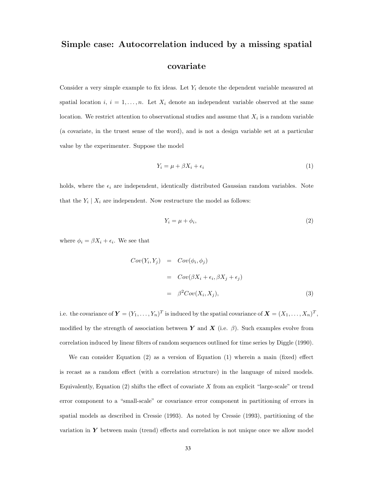# Simple case: Autocorrelation induced by a missing spatial covariate

Consider a very simple example to fix ideas. Let  $Y_i$  denote the dependent variable measured at spatial location i,  $i = 1, \ldots, n$ . Let  $X_i$  denote an independent variable observed at the same location. We restrict attention to observational studies and assume that  $X_i$  is a random variable (a covariate, in the truest sense of the word), and is not a design variable set at a particular value by the experimenter. Suppose the model

$$
Y_i = \mu + \beta X_i + \epsilon_i \tag{1}
$$

holds, where the  $\epsilon_i$  are independent, identically distributed Gaussian random variables. Note that the  $Y_i \mid X_i$  are independent. Now restructure the model as follows:

$$
Y_i = \mu + \phi_i,\tag{2}
$$

where  $\phi_i = \beta X_i + \epsilon_i$ . We see that

$$
Cov(Y_i, Y_j) = Cov(\phi_i, \phi_j)
$$
  
=  $Cov(\beta X_i + \epsilon_i, \beta X_j + \epsilon_j)$   
=  $\beta^2 Cov(X_i, X_j),$  (3)

i.e. the covariance of  $\boldsymbol{Y}=(Y_1,\ldots,Y_n)^T$  is induced by the spatial covariance of  $\boldsymbol{X}=(X_1,\ldots,X_n)^T,$ modified by the strength of association between Y and X (i.e.  $\beta$ ). Such examples evolve from correlation induced by linear filters of random sequences outlined for time series by Diggle (1990).

We can consider Equation (2) as a version of Equation (1) wherein a main (fixed) effect is recast as a random effect (with a correlation structure) in the language of mixed models. Equivalently, Equation  $(2)$  shifts the effect of covariate X from an explicit "large-scale" or trend error component to a "small-scale" or covariance error component in partitioning of errors in spatial models as described in Cressie (1993). As noted by Cressie (1993), partitioning of the variation in  $Y$  between main (trend) effects and correlation is not unique once we allow model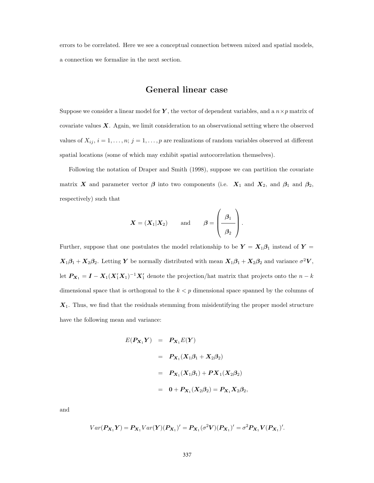errors to be correlated. Here we see a conceptual connection between mixed and spatial models, a connection we formalize in the next section.

#### General linear case

Suppose we consider a linear model for Y, the vector of dependent variables, and a  $n \times p$  matrix of covariate values  $X$ . Again, we limit consideration to an observational setting where the observed values of  $X_{ij}$ ,  $i = 1, \ldots, n; j = 1, \ldots, p$  are realizations of random variables observed at different spatial locations (some of which may exhibit spatial autocorrelation themselves).

Following the notation of Draper and Smith (1998), suppose we can partition the covariate matrix X and parameter vector  $\beta$  into two components (i.e.  $X_1$  and  $X_2$ , and  $\beta_1$  and  $\beta_2$ , respectively) such that

$$
\boldsymbol{X} = (\boldsymbol{X}_1 | \boldsymbol{X}_2)
$$
 and  $\boldsymbol{\beta} = \left(\begin{array}{c} \boldsymbol{\beta}_1 \\ \hline \boldsymbol{\beta}_2 \end{array}\right).$ 

Further, suppose that one postulates the model relationship to be  $Y = X_1 \beta_1$  instead of  $Y =$  $X_1\beta_1 + X_2\beta_2$ . Letting Y be normally distributed with mean  $X_1\beta_1 + X_2\beta_2$  and variance  $\sigma^2 V$ , let  $P_{X_1} = I - X_1(X_1'X_1)^{-1}X_1'$  denote the projection/hat matrix that projects onto the  $n - k$ dimensional space that is orthogonal to the  $k < p$  dimensional space spanned by the columns of  $X_1$ . Thus, we find that the residuals stemming from misidentifying the proper model structure have the following mean and variance:

$$
E(P_{X_1}Y) = P_{X_1}E(Y)
$$
  
=  $P_{X_1}(X_1\beta_1 + X_2\beta_2)$   
=  $P_{X_1}(X_1\beta_1) + PX_1(X_2\beta_2)$   
=  $0 + P_{X_1}(X_2\beta_2) = P_{X_1}X_2\beta_2$ ,

and

$$
Var(P_{X_1}Y) = P_{X_1}Var(Y)(P_{X_1})' = P_{X_1}(\sigma^2 V)(P_{X_1})' = \sigma^2 P_{X_1}V(P_{X_1})'.
$$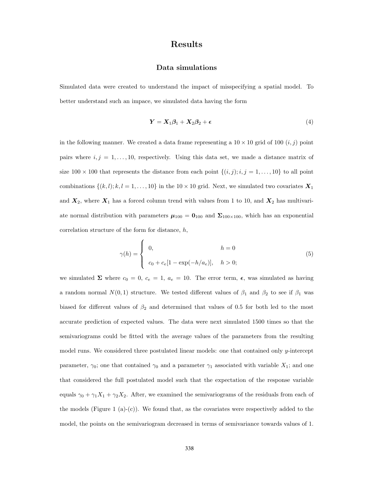## Results

#### Data simulations

Simulated data were created to understand the impact of misspecifying a spatial model. To better understand such an impace, we simulated data having the form

$$
Y = X_1 \beta_1 + X_2 \beta_2 + \epsilon \tag{4}
$$

in the following manner. We created a data frame representing a  $10 \times 10$  grid of  $100$   $(i, j)$  point pairs where  $i, j = 1, \ldots, 10$ , respectively. Using this data set, we made a distance matrix of size  $100 \times 100$  that represents the distance from each point  $\{(i, j); i, j = 1, ..., 10\}$  to all point combinations  $\{(k, l); k, l = 1, ..., 10\}$  in the 10 × 10 grid. Next, we simulated two covariates  $\mathbf{X}_1$ and  $X_2$ , where  $X_1$  has a forced column trend with values from 1 to 10, and  $X_2$  has multivariate normal distribution with parameters  $\mu_{100} = 0_{100}$  and  $\Sigma_{100\times100}$ , which has an exponential correlation structure of the form for distance, h,

$$
\gamma(h) = \begin{cases} 0, & h = 0 \\ c_0 + c_e[1 - \exp(-h/a_e)], & h > 0; \end{cases}
$$
(5)

we simulated  $\Sigma$  where  $c_0 = 0$ ,  $c_e = 1$ ,  $a_e = 10$ . The error term,  $\epsilon$ , was simulated as having a random normal  $N(0, 1)$  structure. We tested different values of  $\beta_1$  and  $\beta_2$  to see if  $\beta_1$  was biased for different values of  $\beta_2$  and determined that values of 0.5 for both led to the most accurate prediction of expected values. The data were next simulated 1500 times so that the semivariograms could be fitted with the average values of the parameters from the resulting model runs. We considered three postulated linear models: one that contained only y-intercept parameter,  $\gamma_0$ ; one that contained  $\gamma_0$  and a parameter  $\gamma_1$  associated with variable  $X_1$ ; and one that considered the full postulated model such that the expectation of the response variable equals  $\gamma_0 + \gamma_1 X_1 + \gamma_2 X_2$ . After, we examined the semivariograms of the residuals from each of the models (Figure 1 (a)-(c)). We found that, as the covariates were respectively added to the model, the points on the semivariogram decreased in terms of semivariance towards values of 1.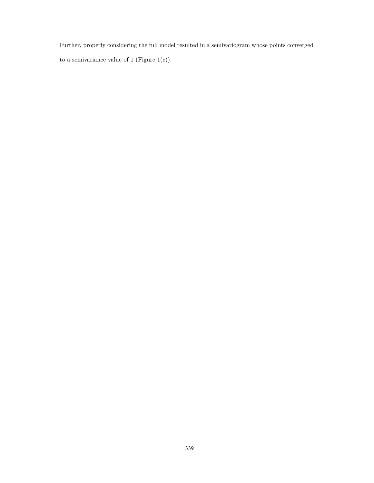Further, properly considering the full model resulted in a semivariogram whose points converged to a semivariance value of 1 (Figure  $1(c)$ ).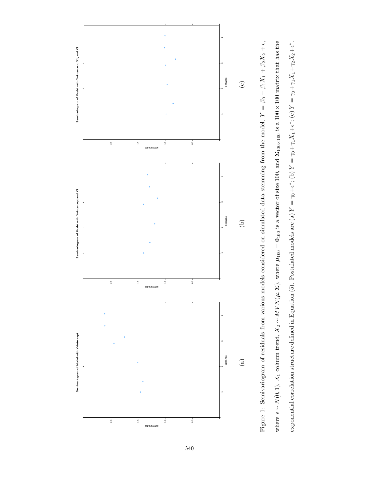

Figure 1: Semivariogram of residuals from various models considered on simulated data stemming from the model,  $Y = \beta_0 + \beta_1 X_1 + \beta_2 X_2 + \epsilon$ , where  $\epsilon \sim N(0, 1)$ ,  $X_1$  column trend,  $X_2 \sim MVNN(\mu, \Sigma)$ , where  $\mu_{100} = 0_{100}$  is a vector of size 100, and  $\Sigma_{100 \times 100}$  is a 100 × 100 matrix that has the exponential correlation structure defined in Equation (5). Postulated models are (a)  $Y = \gamma_0 + \epsilon^*$ ; (b)  $Y = \gamma_0 + \gamma_1 X_1 + \epsilon^*$ ; (c)  $Y = \gamma_0 + \gamma_1 X_1 + \gamma_2 X_2 + \epsilon^*$ . Figure 1: Semivariogram of residuals from various models considered on simulated data stemming from the model,  $Y = \beta_0 + \beta_1 X_1 + \beta_2 X_2 + \epsilon,$ where  $\epsilon \sim N(0, 1)$ ,  $X_1$  column trend,  $X_2 \sim MVN(\mu, \Sigma)$ , where  $\mu_{100} = 0_{100}$  is a vector of size 100, and  $\Sigma_{100 \times 100}$  is a 100 × 100 matrix that has the exponential correlation structure defined in Equation (5). Postulated models are (a)  $Y = \gamma_0 + \epsilon^*$ ; (b)  $Y = \gamma_0 + \gamma_1 X_1 + \epsilon^*$ ; (c)  $Y = \gamma_0 + \gamma_1 X_1 + \gamma_2 X_2 + \epsilon^*$ .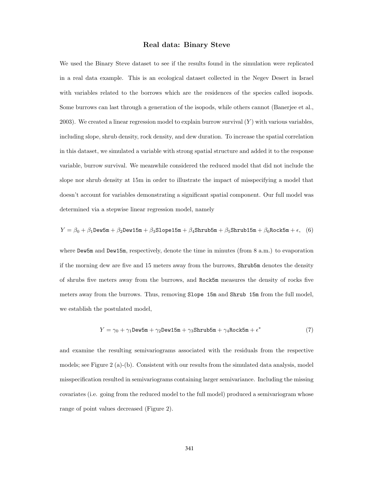#### Real data: Binary Steve

We used the Binary Steve dataset to see if the results found in the simulation were replicated in a real data example. This is an ecological dataset collected in the Negev Desert in Israel with variables related to the borrows which are the residences of the species called isopods. Some burrows can last through a generation of the isopods, while others cannot (Banerjee et al., 2003). We created a linear regression model to explain burrow survival  $(Y)$  with various variables, including slope, shrub density, rock density, and dew duration. To increase the spatial correlation in this dataset, we simulated a variable with strong spatial structure and added it to the response variable, burrow survival. We meanwhile considered the reduced model that did not include the slope nor shrub density at 15m in order to illustrate the impact of misspecifying a model that doesn't account for variables demonstrating a significant spatial component. Our full model was determined via a stepwise linear regression model, namely

$$
Y=\beta_0+\beta_1\textrm{Dev5m}+\beta_2\textrm{Dev15m}+\beta_3\textrm{Slope15m}+\beta_4\textrm{Shrub5m}+\beta_5\textrm{Shrub15m}+\beta_6\textrm{Rock5m}+\epsilon, \hspace{0.5cm} (6)
$$

where Dew5m and Dew15m, respectively, denote the time in minutes (from 8 a.m.) to evaporation if the morning dew are five and 15 meters away from the burrows, Shrub5m denotes the density of shrubs five meters away from the burrows, and Rock5m measures the density of rocks five meters away from the burrows. Thus, removing Slope 15m and Shrub 15m from the full model, we establish the postulated model,

$$
Y = \gamma_0 + \gamma_1 \text{Dev5m} + \gamma_2 \text{Dev15m} + \gamma_3 \text{Strub5m} + \gamma_4 \text{Rock5m} + \epsilon^* \tag{7}
$$

and examine the resulting semivariograms associated with the residuals from the respective models; see Figure 2 (a)-(b). Consistent with our results from the simulated data analysis, model misspecification resulted in semivariograms containing larger semivariance. Including the missing covariates (i.e. going from the reduced model to the full model) produced a semivariogram whose range of point values decreased (Figure 2).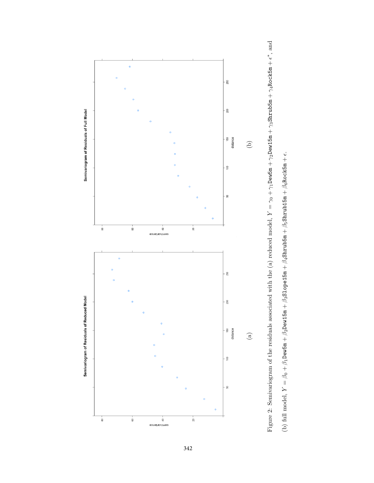

Figure 2: Semivariogram of the residuals associated with the (a) reduced model,  $Y = \gamma_0 + \gamma_1$ Dew5m +  $\gamma_2$ Dew15m +  $\gamma_3$ Shrub5m +  $\gamma_4$ Rock5m +  $\epsilon^*$ , and Figure 2: Semivariogram of the residuals associated with the (a) reduced model,  $Y = \gamma_0 + \gamma_1$ Dew5m +  $\gamma_2$ Dew15m +  $\gamma_3$ Shrub5m +  $\gamma_4$ Rock5m +  $\epsilon^*$ , and (b) full model,  $Y = \beta_0 + \beta_1$ Dew5m +  $\beta_2$ Dew15m +  $\beta_3$ S1ope15m +  $\beta_4$ Shrub5m +  $\beta_5$ Shrub15m +  $\beta_6$ Rock5m +  $\epsilon$ . (b) full model,  $Y = \beta_0 + \beta_1$ Dew5m +  $\beta_2$ Dew15m +  $\beta_3$ Slope15m +  $\beta_4$ Shrub5m +  $\beta_5$ Shrub15m +  $\beta_6$ Rock5m +  $\epsilon$ .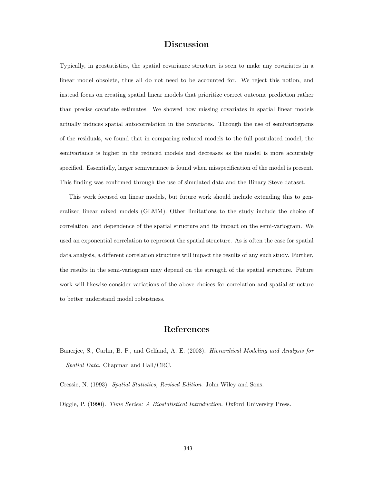## Discussion

Typically, in geostatistics, the spatial covariance structure is seen to make any covariates in a linear model obsolete, thus all do not need to be accounted for. We reject this notion, and instead focus on creating spatial linear models that prioritize correct outcome prediction rather than precise covariate estimates. We showed how missing covariates in spatial linear models actually induces spatial autocorrelation in the covariates. Through the use of semivariograms of the residuals, we found that in comparing reduced models to the full postulated model, the semivariance is higher in the reduced models and decreases as the model is more accurately specified. Essentially, larger semivariance is found when misspecification of the model is present. This finding was confirmed through the use of simulated data and the Binary Steve dataset.

This work focused on linear models, but future work should include extending this to generalized linear mixed models (GLMM). Other limitations to the study include the choice of correlation, and dependence of the spatial structure and its impact on the semi-variogram. We used an exponential correlation to represent the spatial structure. As is often the case for spatial data analysis, a different correlation structure will impact the results of any such study. Further, the results in the semi-variogram may depend on the strength of the spatial structure. Future work will likewise consider variations of the above choices for correlation and spatial structure to better understand model robustness.

#### References

Banerjee, S., Carlin, B. P., and Gelfand, A. E. (2003). Hierarchical Modeling and Analysis for Spatial Data. Chapman and Hall/CRC.

Cressie, N. (1993). Spatial Statistics, Revised Edition. John Wiley and Sons.

Diggle, P. (1990). Time Series: A Biostatistical Introduction. Oxford University Press.